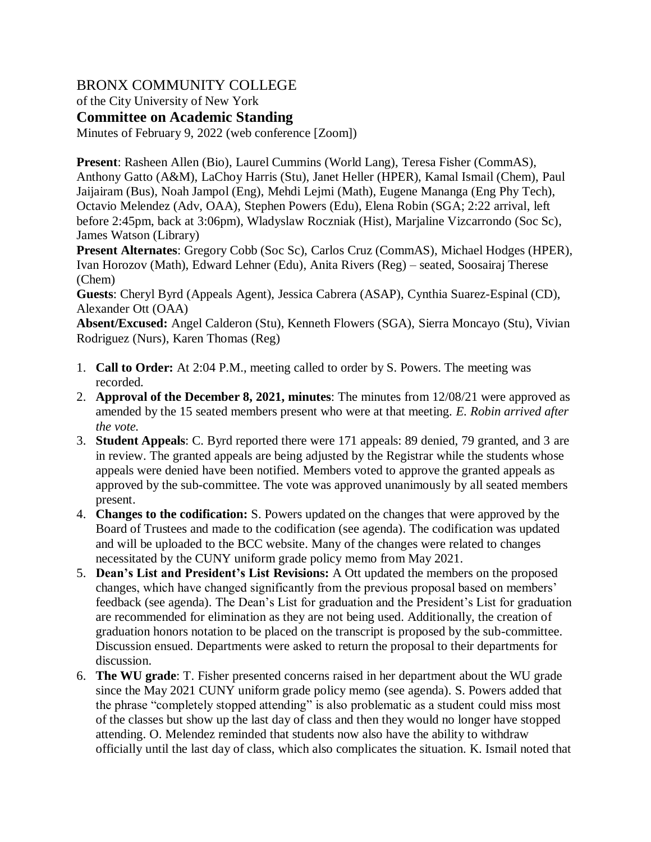# BRONX COMMUNITY COLLEGE

of the City University of New York

**Committee on Academic Standing**

Minutes of February 9, 2022 (web conference [Zoom])

**Present**: Rasheen Allen (Bio), Laurel Cummins (World Lang), Teresa Fisher (CommAS), Anthony Gatto (A&M), LaChoy Harris (Stu), Janet Heller (HPER), Kamal Ismail (Chem), Paul Jaijairam (Bus), Noah Jampol (Eng), Mehdi Lejmi (Math), Eugene Mananga (Eng Phy Tech), Octavio Melendez (Adv, OAA), Stephen Powers (Edu), Elena Robin (SGA; 2:22 arrival, left before 2:45pm, back at 3:06pm), Wladyslaw Roczniak (Hist), Marjaline Vizcarrondo (Soc Sc), James Watson (Library)

**Present Alternates**: Gregory Cobb (Soc Sc), Carlos Cruz (CommAS), Michael Hodges (HPER), Ivan Horozov (Math), Edward Lehner (Edu), Anita Rivers (Reg) – seated, Soosairaj Therese (Chem)

**Guests**: Cheryl Byrd (Appeals Agent), Jessica Cabrera (ASAP), Cynthia Suarez-Espinal (CD), Alexander Ott (OAA)

**Absent/Excused:** Angel Calderon (Stu), Kenneth Flowers (SGA), Sierra Moncayo (Stu), Vivian Rodriguez (Nurs), Karen Thomas (Reg)

- 1. **Call to Order:** At 2:04 P.M., meeting called to order by S. Powers. The meeting was recorded.
- 2. **Approval of the December 8, 2021, minutes**: The minutes from 12/08/21 were approved as amended by the 15 seated members present who were at that meeting. *E. Robin arrived after the vote.*
- 3. **Student Appeals**: C. Byrd reported there were 171 appeals: 89 denied, 79 granted, and 3 are in review. The granted appeals are being adjusted by the Registrar while the students whose appeals were denied have been notified. Members voted to approve the granted appeals as approved by the sub-committee. The vote was approved unanimously by all seated members present.
- 4. **Changes to the codification:** S. Powers updated on the changes that were approved by the Board of Trustees and made to the codification (see agenda). The codification was updated and will be uploaded to the BCC website. Many of the changes were related to changes necessitated by the CUNY uniform grade policy memo from May 2021.
- 5. **Dean's List and President's List Revisions:** A Ott updated the members on the proposed changes, which have changed significantly from the previous proposal based on members' feedback (see agenda). The Dean's List for graduation and the President's List for graduation are recommended for elimination as they are not being used. Additionally, the creation of graduation honors notation to be placed on the transcript is proposed by the sub-committee. Discussion ensued. Departments were asked to return the proposal to their departments for discussion.
- 6. **The WU grade**: T. Fisher presented concerns raised in her department about the WU grade since the May 2021 CUNY uniform grade policy memo (see agenda). S. Powers added that the phrase "completely stopped attending" is also problematic as a student could miss most of the classes but show up the last day of class and then they would no longer have stopped attending. O. Melendez reminded that students now also have the ability to withdraw officially until the last day of class, which also complicates the situation. K. Ismail noted that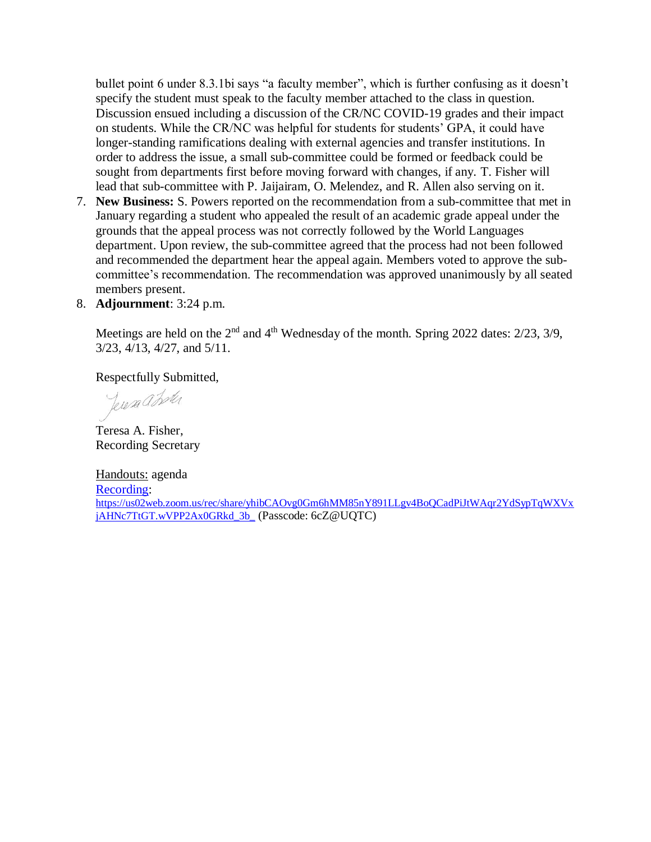bullet point 6 under 8.3.1bi says "a faculty member", which is further confusing as it doesn't specify the student must speak to the faculty member attached to the class in question. Discussion ensued including a discussion of the CR/NC COVID-19 grades and their impact on students. While the CR/NC was helpful for students for students' GPA, it could have longer-standing ramifications dealing with external agencies and transfer institutions. In order to address the issue, a small sub-committee could be formed or feedback could be sought from departments first before moving forward with changes, if any. T. Fisher will lead that sub-committee with P. Jaijairam, O. Melendez, and R. Allen also serving on it.

- 7. **New Business:** S. Powers reported on the recommendation from a sub-committee that met in January regarding a student who appealed the result of an academic grade appeal under the grounds that the appeal process was not correctly followed by the World Languages department. Upon review, the sub-committee agreed that the process had not been followed and recommended the department hear the appeal again. Members voted to approve the subcommittee's recommendation. The recommendation was approved unanimously by all seated members present.
- 8. **Adjournment**: 3:24 p.m.

Meetings are held on the  $2<sup>nd</sup>$  and  $4<sup>th</sup>$  Wednesday of the month. Spring 2022 dates:  $2/23$ ,  $3/9$ , 3/23, 4/13, 4/27, and 5/11.

Respectfully Submitted,

Jeresa a Loter

Teresa A. Fisher, Recording Secretary

Handouts: agenda [Recording:](https://us02web.zoom.us/rec/share/yhibCAOvg0Gm6hMM85nY891LLgv4BoQCadPiJtWAqr2YdSypTqWXVxjAHNc7TtGT.wVPP2Ax0GRkd_3b) [https://us02web.zoom.us/rec/share/yhibCAOvg0Gm6hMM85nY891LLgv4BoQCadPiJtWAqr2YdSypTqWXVx](https://urldefense.proofpoint.com/v2/url?u=https-3A__us02web.zoom.us_rec_share_yhibCAOvg0Gm6hMM85nY891LLgv4BoQCadPiJtWAqr2YdSypTqWXVxjAHNc7TtGT.wVPP2Ax0GRkd-5F3b-5F&d=DwMFAw&c=mRWFL96tuqj9V0Jjj4h40ddo0XsmttALwKjAEOCyUjY&r=IZfWtvjkdY2axVNbaAl81QkbmgEDnG6klzXtuqabQcM&m=52QvHd1fIcQJ7oS7g9renszB99faEP3OU_Sp80Aae_w&s=cXIRYmKDn4DXKTGyzefDfNSZnJPjtfgEYse6eWch6XE&e=) [jAHNc7TtGT.wVPP2Ax0GRkd\\_3b\\_](https://urldefense.proofpoint.com/v2/url?u=https-3A__us02web.zoom.us_rec_share_yhibCAOvg0Gm6hMM85nY891LLgv4BoQCadPiJtWAqr2YdSypTqWXVxjAHNc7TtGT.wVPP2Ax0GRkd-5F3b-5F&d=DwMFAw&c=mRWFL96tuqj9V0Jjj4h40ddo0XsmttALwKjAEOCyUjY&r=IZfWtvjkdY2axVNbaAl81QkbmgEDnG6klzXtuqabQcM&m=52QvHd1fIcQJ7oS7g9renszB99faEP3OU_Sp80Aae_w&s=cXIRYmKDn4DXKTGyzefDfNSZnJPjtfgEYse6eWch6XE&e=) (Passcode: 6cZ@UQTC)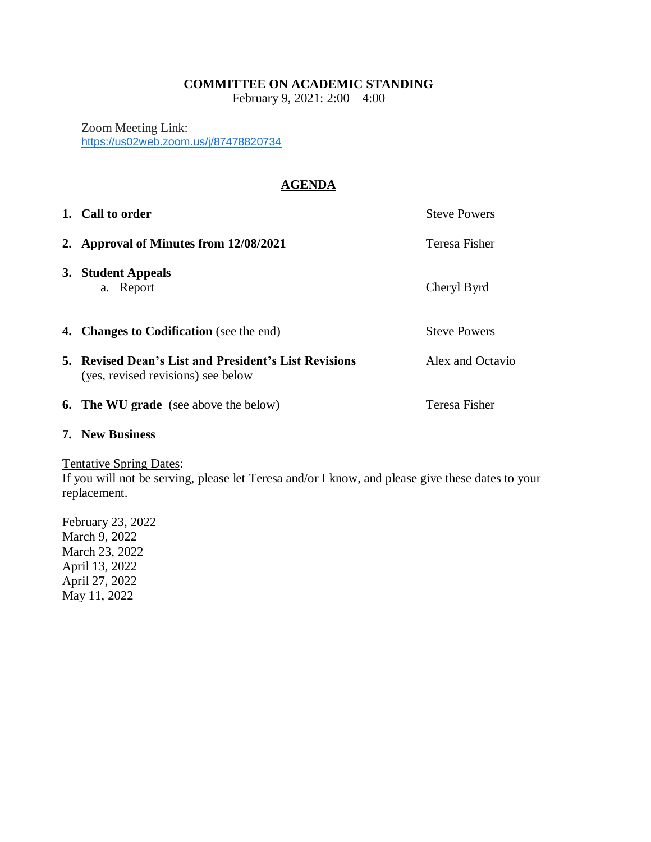# **COMMITTEE ON ACADEMIC STANDING**

February 9, 2021: 2:00 – 4:00

Zoom Meeting Link: <https://us02web.zoom.us/j/87478820734>

# **AGENDA**

| 1. Call to order                                                                            | <b>Steve Powers</b> |
|---------------------------------------------------------------------------------------------|---------------------|
| 2. Approval of Minutes from 12/08/2021                                                      | Teresa Fisher       |
| 3. Student Appeals<br>a. Report                                                             | Cheryl Byrd         |
| <b>4. Changes to Codification</b> (see the end)                                             | <b>Steve Powers</b> |
| 5. Revised Dean's List and President's List Revisions<br>(yes, revised revisions) see below | Alex and Octavio    |
| <b>6. The WU grade</b> (see above the below)                                                | Teresa Fisher       |

## **7. New Business**

Tentative Spring Dates:

If you will not be serving, please let Teresa and/or I know, and please give these dates to your replacement.

February 23, 2022 March 9, 2022 March 23, 2022 April 13, 2022 April 27, 2022 May 11, 2022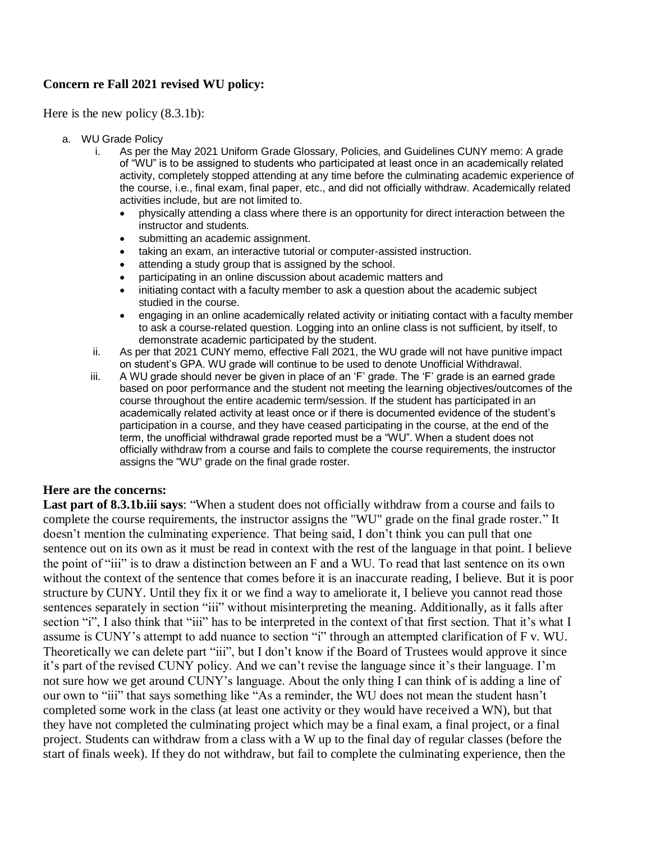# **Concern re Fall 2021 revised WU policy:**

Here is the new policy (8.3.1b):

- a. WU Grade Policy
	- i. As per the May 2021 Uniform Grade Glossary, Policies, and Guidelines CUNY memo: A grade of "WU" is to be assigned to students who participated at least once in an academically related activity, completely stopped attending at any time before the culminating academic experience of the course, i.e., final exam, final paper, etc., and did not officially withdraw. Academically related activities include, but are not limited to.
		- physically attending a class where there is an opportunity for direct interaction between the instructor and students.
		- submitting an academic assignment.
		- taking an exam, an interactive tutorial or computer-assisted instruction.
		- attending a study group that is assigned by the school.
		- participating in an online discussion about academic matters and
		- initiating contact with a faculty member to ask a question about the academic subject studied in the course.
		- engaging in an online academically related activity or initiating contact with a faculty member to ask a course-related question. Logging into an online class is not sufficient, by itself, to demonstrate academic participated by the student.
	- ii. As per that 2021 CUNY memo, effective Fall 2021, the WU grade will not have punitive impact on student's GPA. WU grade will continue to be used to denote Unofficial Withdrawal.
	- iii. A WU grade should never be given in place of an 'F' grade. The 'F' grade is an earned grade based on poor performance and the student not meeting the learning objectives/outcomes of the course throughout the entire academic term/session. If the student has participated in an academically related activity at least once or if there is documented evidence of the student's participation in a course, and they have ceased participating in the course, at the end of the term, the unofficial withdrawal grade reported must be a "WU". When a student does not officially withdraw from a course and fails to complete the course requirements, the instructor assigns the "WU" grade on the final grade roster.

# **Here are the concerns:**

**Last part of 8.3.1b.iii says**: "When a student does not officially withdraw from a course and fails to complete the course requirements, the instructor assigns the "WU" grade on the final grade roster." It doesn't mention the culminating experience. That being said, I don't think you can pull that one sentence out on its own as it must be read in context with the rest of the language in that point. I believe the point of "iii" is to draw a distinction between an F and a WU. To read that last sentence on its own without the context of the sentence that comes before it is an inaccurate reading, I believe. But it is poor structure by CUNY. Until they fix it or we find a way to ameliorate it, I believe you cannot read those sentences separately in section "iii" without misinterpreting the meaning. Additionally, as it falls after section "i", I also think that "iii" has to be interpreted in the context of that first section. That it's what I assume is CUNY's attempt to add nuance to section "i" through an attempted clarification of F v. WU. Theoretically we can delete part "iii", but I don't know if the Board of Trustees would approve it since it's part of the revised CUNY policy. And we can't revise the language since it's their language. I'm not sure how we get around CUNY's language. About the only thing I can think of is adding a line of our own to "iii" that says something like "As a reminder, the WU does not mean the student hasn't completed some work in the class (at least one activity or they would have received a WN), but that they have not completed the culminating project which may be a final exam, a final project, or a final project. Students can withdraw from a class with a W up to the final day of regular classes (before the start of finals week). If they do not withdraw, but fail to complete the culminating experience, then the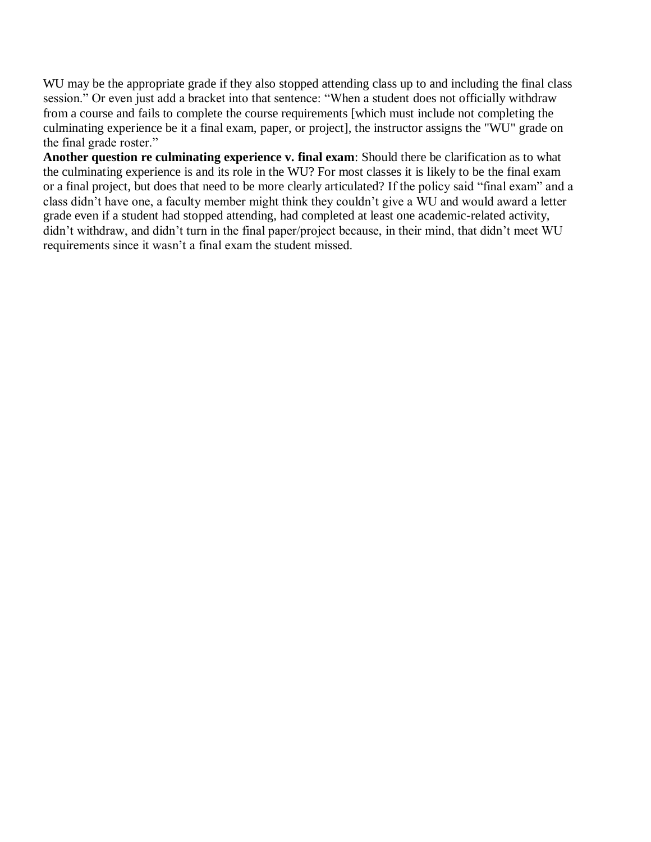WU may be the appropriate grade if they also stopped attending class up to and including the final class session." Or even just add a bracket into that sentence: "When a student does not officially withdraw from a course and fails to complete the course requirements [which must include not completing the culminating experience be it a final exam, paper, or project], the instructor assigns the "WU" grade on the final grade roster."

**Another question re culminating experience v. final exam**: Should there be clarification as to what the culminating experience is and its role in the WU? For most classes it is likely to be the final exam or a final project, but does that need to be more clearly articulated? If the policy said "final exam" and a class didn't have one, a faculty member might think they couldn't give a WU and would award a letter grade even if a student had stopped attending, had completed at least one academic-related activity, didn't withdraw, and didn't turn in the final paper/project because, in their mind, that didn't meet WU requirements since it wasn't a final exam the student missed.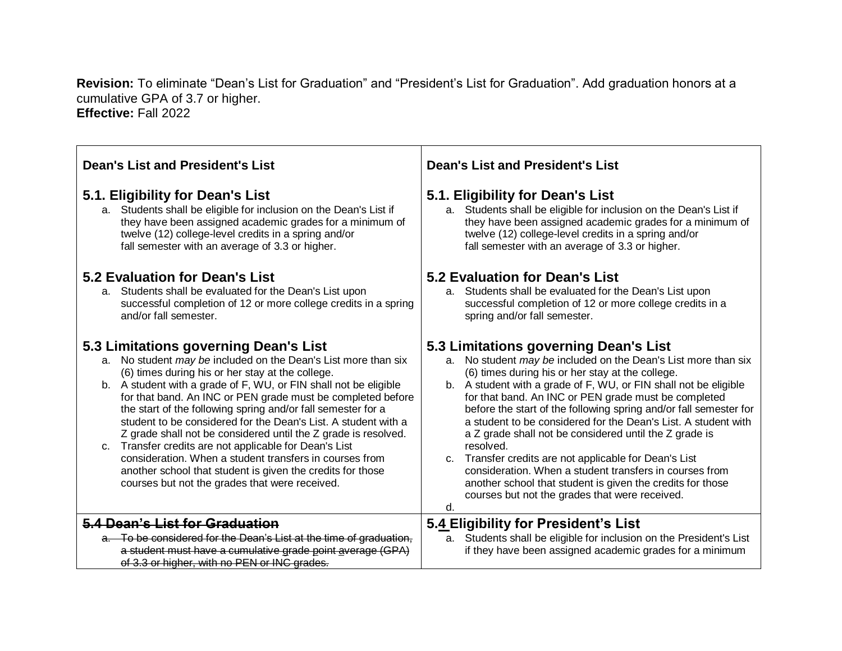**Revision:** To eliminate "Dean's List for Graduation" and "President's List for Graduation". Add graduation honors at a cumulative GPA of 3.7 or higher. **Effective:** Fall 2022

| <b>Dean's List and President's List</b>                                                                                                                                                                                                                                                                                                                                                                                                                                                                                                                                                                                                                                                                                                           | <b>Dean's List and President's List</b>                                                                                                                                                                                                                                                                                                                                                                                                                                                                                                                                                                                                                                                                                                                    |
|---------------------------------------------------------------------------------------------------------------------------------------------------------------------------------------------------------------------------------------------------------------------------------------------------------------------------------------------------------------------------------------------------------------------------------------------------------------------------------------------------------------------------------------------------------------------------------------------------------------------------------------------------------------------------------------------------------------------------------------------------|------------------------------------------------------------------------------------------------------------------------------------------------------------------------------------------------------------------------------------------------------------------------------------------------------------------------------------------------------------------------------------------------------------------------------------------------------------------------------------------------------------------------------------------------------------------------------------------------------------------------------------------------------------------------------------------------------------------------------------------------------------|
|                                                                                                                                                                                                                                                                                                                                                                                                                                                                                                                                                                                                                                                                                                                                                   |                                                                                                                                                                                                                                                                                                                                                                                                                                                                                                                                                                                                                                                                                                                                                            |
| 5.1. Eligibility for Dean's List                                                                                                                                                                                                                                                                                                                                                                                                                                                                                                                                                                                                                                                                                                                  | 5.1. Eligibility for Dean's List                                                                                                                                                                                                                                                                                                                                                                                                                                                                                                                                                                                                                                                                                                                           |
| a. Students shall be eligible for inclusion on the Dean's List if                                                                                                                                                                                                                                                                                                                                                                                                                                                                                                                                                                                                                                                                                 | a. Students shall be eligible for inclusion on the Dean's List if                                                                                                                                                                                                                                                                                                                                                                                                                                                                                                                                                                                                                                                                                          |
| they have been assigned academic grades for a minimum of                                                                                                                                                                                                                                                                                                                                                                                                                                                                                                                                                                                                                                                                                          | they have been assigned academic grades for a minimum of                                                                                                                                                                                                                                                                                                                                                                                                                                                                                                                                                                                                                                                                                                   |
| twelve (12) college-level credits in a spring and/or                                                                                                                                                                                                                                                                                                                                                                                                                                                                                                                                                                                                                                                                                              | twelve (12) college-level credits in a spring and/or                                                                                                                                                                                                                                                                                                                                                                                                                                                                                                                                                                                                                                                                                                       |
| fall semester with an average of 3.3 or higher.                                                                                                                                                                                                                                                                                                                                                                                                                                                                                                                                                                                                                                                                                                   | fall semester with an average of 3.3 or higher.                                                                                                                                                                                                                                                                                                                                                                                                                                                                                                                                                                                                                                                                                                            |
| 5.2 Evaluation for Dean's List                                                                                                                                                                                                                                                                                                                                                                                                                                                                                                                                                                                                                                                                                                                    | 5.2 Evaluation for Dean's List                                                                                                                                                                                                                                                                                                                                                                                                                                                                                                                                                                                                                                                                                                                             |
| a. Students shall be evaluated for the Dean's List upon                                                                                                                                                                                                                                                                                                                                                                                                                                                                                                                                                                                                                                                                                           | a. Students shall be evaluated for the Dean's List upon                                                                                                                                                                                                                                                                                                                                                                                                                                                                                                                                                                                                                                                                                                    |
| successful completion of 12 or more college credits in a spring                                                                                                                                                                                                                                                                                                                                                                                                                                                                                                                                                                                                                                                                                   | successful completion of 12 or more college credits in a                                                                                                                                                                                                                                                                                                                                                                                                                                                                                                                                                                                                                                                                                                   |
| and/or fall semester.                                                                                                                                                                                                                                                                                                                                                                                                                                                                                                                                                                                                                                                                                                                             | spring and/or fall semester.                                                                                                                                                                                                                                                                                                                                                                                                                                                                                                                                                                                                                                                                                                                               |
| 5.3 Limitations governing Dean's List<br>No student <i>may be</i> included on the Dean's List more than six<br>a.<br>(6) times during his or her stay at the college.<br>b. A student with a grade of F, WU, or FIN shall not be eligible<br>for that band. An INC or PEN grade must be completed before<br>the start of the following spring and/or fall semester for a<br>student to be considered for the Dean's List. A student with a<br>Z grade shall not be considered until the Z grade is resolved.<br>c. Transfer credits are not applicable for Dean's List<br>consideration. When a student transfers in courses from<br>another school that student is given the credits for those<br>courses but not the grades that were received. | 5.3 Limitations governing Dean's List<br>No student <i>may be</i> included on the Dean's List more than six<br>a.<br>(6) times during his or her stay at the college.<br>b. A student with a grade of F, WU, or FIN shall not be eligible<br>for that band. An INC or PEN grade must be completed<br>before the start of the following spring and/or fall semester for<br>a student to be considered for the Dean's List. A student with<br>a Z grade shall not be considered until the Z grade is<br>resolved.<br>c. Transfer credits are not applicable for Dean's List<br>consideration. When a student transfers in courses from<br>another school that student is given the credits for those<br>courses but not the grades that were received.<br>d. |
| 5.4 Dean's List for Graduation                                                                                                                                                                                                                                                                                                                                                                                                                                                                                                                                                                                                                                                                                                                    | 5.4 Eligibility for President's List                                                                                                                                                                                                                                                                                                                                                                                                                                                                                                                                                                                                                                                                                                                       |
| a. To be considered for the Dean's List at the time of graduation,                                                                                                                                                                                                                                                                                                                                                                                                                                                                                                                                                                                                                                                                                | Students shall be eligible for inclusion on the President's List                                                                                                                                                                                                                                                                                                                                                                                                                                                                                                                                                                                                                                                                                           |
| a student must have a cumulative grade point average (GPA)                                                                                                                                                                                                                                                                                                                                                                                                                                                                                                                                                                                                                                                                                        | a.                                                                                                                                                                                                                                                                                                                                                                                                                                                                                                                                                                                                                                                                                                                                                         |
| of 3.3 or higher, with no PEN or INC grades.                                                                                                                                                                                                                                                                                                                                                                                                                                                                                                                                                                                                                                                                                                      | if they have been assigned academic grades for a minimum                                                                                                                                                                                                                                                                                                                                                                                                                                                                                                                                                                                                                                                                                                   |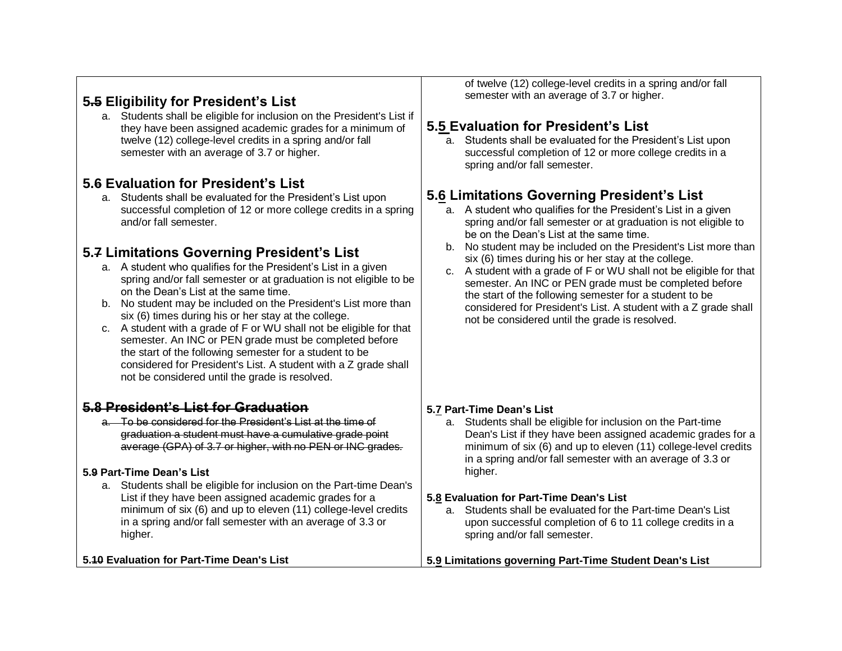# **5.5 Eligibility for President's List**

a. Students shall be eligible for inclusion on the President's List if they have been assigned academic grades for a minimum of twelve (12) college-level credits in a spring and/or fall semester with an average of 3.7 or higher.

# **5.6 Evaluation for President's List**

a. Students shall be evaluated for the President's List upon successful completion of 12 or more college credits in a spring and/or fall semester.

# **5.7 Limitations Governing President's List**

- a. A student who qualifies for the President's List in a given spring and/or fall semester or at graduation is not eligible to be on the Dean's List at the same time.
- b. No student may be included on the President's List more than six (6) times during his or her stay at the college.
- c. A student with a grade of F or WU shall not be eligible for that semester. An INC or PEN grade must be completed before the start of the following semester for a student to be considered for President's List. A student with a Z grade shall not be considered until the grade is resolved.

# **5.8 President's List for Graduation**

a. To be considered for the President's List at the time of graduation a student must have a cumulative grade point average (GPA) of 3.7 or higher, with no PEN or INC grades.

# **5.9 Part-Time Dean's List**

a. Students shall be eligible for inclusion on the Part-time Dean's List if they have been assigned academic grades for a minimum of six (6) and up to eleven (11) college-level credits in a spring and/or fall semester with an average of 3.3 or higher.

**5.10 Evaluation for Part-Time Dean's List**

of twelve (12) college-level credits in a spring and/or fall semester with an average of 3.7 or higher.

# **5.5 Evaluation for President's List**

a. Students shall be evaluated for the President's List upon successful completion of 12 or more college credits in a spring and/or fall semester.

# **5.6 Limitations Governing President's List**

- a. A student who qualifies for the President's List in a given spring and/or fall semester or at graduation is not eligible to be on the Dean's List at the same time.
- b. No student may be included on the President's List more than six (6) times during his or her stay at the college.
- c. A student with a grade of F or WU shall not be eligible for that semester. An INC or PEN grade must be completed before the start of the following semester for a student to be considered for President's List. A student with a Z grade shall not be considered until the grade is resolved.

#### **5.7 Part-Time Dean's List**

a. Students shall be eligible for inclusion on the Part-time Dean's List if they have been assigned academic grades for a minimum of six (6) and up to eleven (11) college-level credits in a spring and/or fall semester with an average of 3.3 or higher.

#### **5.8 Evaluation for Part-Time Dean's List**

a. Students shall be evaluated for the Part-time Dean's List upon successful completion of 6 to 11 college credits in a spring and/or fall semester.

**5.9 Limitations governing Part-Time Student Dean's List**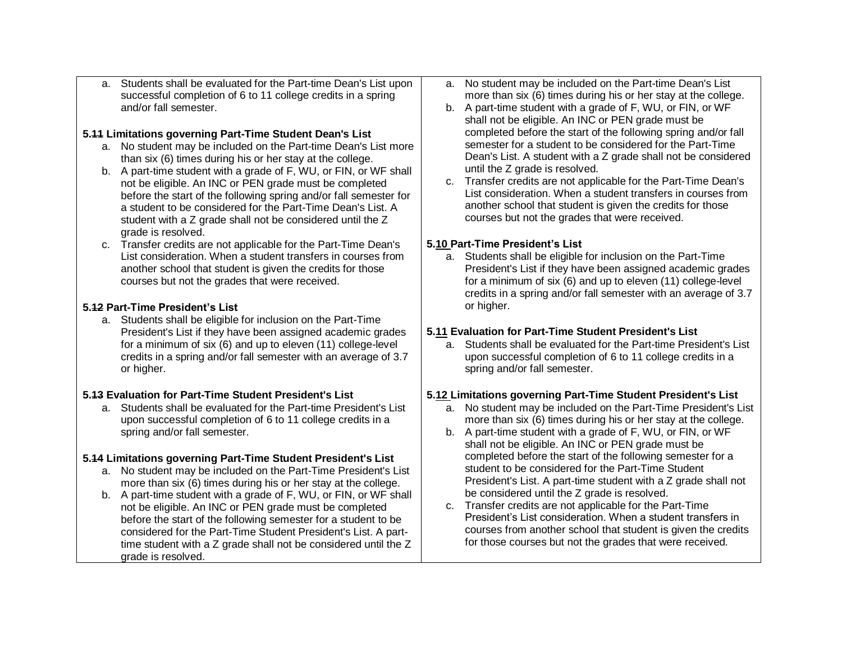a. Students shall be evaluated for the Part-time Dean's List upon successful completion of 6 to 11 college credits in a spring and/or fall semester.

#### **5.11 Limitations governing Part-Time Student Dean's List**

- a. No student may be included on the Part-time Dean's List more than six (6) times during his or her stay at the college.
- b. A part-time student with a grade of F, WU, or FIN, or WF shall not be eligible. An INC or PEN grade must be completed before the start of the following spring and/or fall semester for a student to be considered for the Part-Time Dean's List. A student with a Z grade shall not be considered until the Z grade is resolved.
- c. Transfer credits are not applicable for the Part-Time Dean's List consideration. When a student transfers in courses from another school that student is given the credits for those courses but not the grades that were received.

# **5.12 Part-Time President's List**

a. Students shall be eligible for inclusion on the Part-Time President's List if they have been assigned academic grades for a minimum of six (6) and up to eleven (11) college-level credits in a spring and/or fall semester with an average of 3.7 or higher.

#### **5.13 Evaluation for Part-Time Student President's List**

a. Students shall be evaluated for the Part-time President's List upon successful completion of 6 to 11 college credits in a spring and/or fall semester.

# **5.14 Limitations governing Part-Time Student President's List**

- a. No student may be included on the Part-Time President's List more than six (6) times during his or her stay at the college.
- b. A part-time student with a grade of F, WU, or FIN, or WF shall not be eligible. An INC or PEN grade must be completed before the start of the following semester for a student to be considered for the Part-Time Student President's List. A parttime student with a Z grade shall not be considered until the Z grade is resolved.
- a. No student may be included on the Part-time Dean's List more than six (6) times during his or her stay at the college.
- b. A part-time student with a grade of F, WU, or FIN, or WF shall not be eligible. An INC or PEN grade must be completed before the start of the following spring and/or fall semester for a student to be considered for the Part-Time Dean's List. A student with a Z grade shall not be considered until the Z grade is resolved.
- c. Transfer credits are not applicable for the Part-Time Dean's List consideration. When a student transfers in courses from another school that student is given the credits for those courses but not the grades that were received.

# **5.10 Part-Time President's List**

a. Students shall be eligible for inclusion on the Part-Time President's List if they have been assigned academic grades for a minimum of six (6) and up to eleven (11) college-level credits in a spring and/or fall semester with an average of 3.7 or higher.

# **5.11 Evaluation for Part-Time Student President's List**

a. Students shall be evaluated for the Part-time President's List upon successful completion of 6 to 11 college credits in a spring and/or fall semester.

# **5.12 Limitations governing Part-Time Student President's List**

- a. No student may be included on the Part-Time President's List more than six (6) times during his or her stay at the college.
- b. A part-time student with a grade of F, WU, or FIN, or WF shall not be eligible. An INC or PEN grade must be completed before the start of the following semester for a student to be considered for the Part-Time Student President's List. A part-time student with a Z grade shall not be considered until the Z grade is resolved.
- c. Transfer credits are not applicable for the Part-Time President's List consideration. When a student transfers in courses from another school that student is given the credits for those courses but not the grades that were received.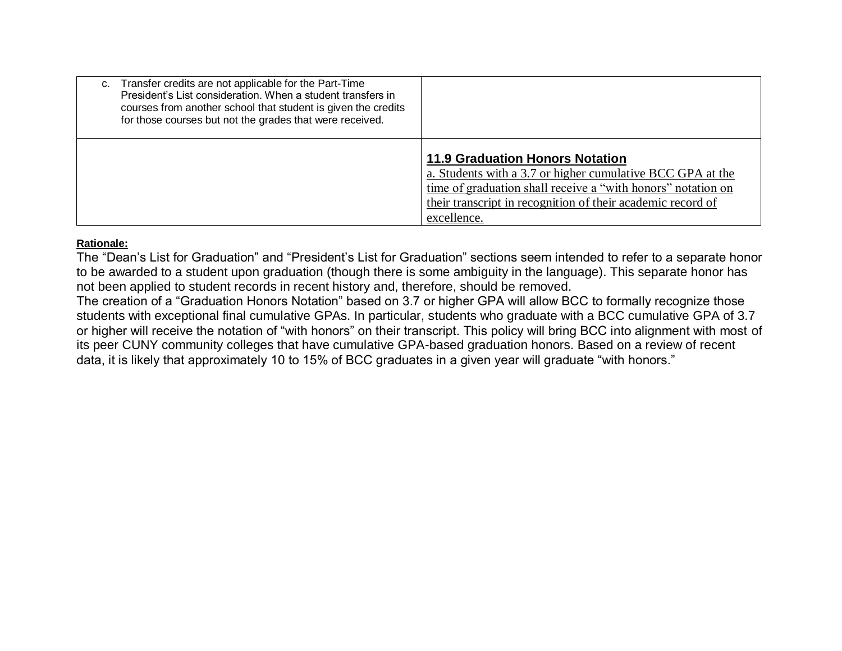| Transfer credits are not applicable for the Part-Time<br>C.<br>President's List consideration. When a student transfers in<br>courses from another school that student is given the credits<br>for those courses but not the grades that were received. |                                                                                                                                                                                                                                                    |
|---------------------------------------------------------------------------------------------------------------------------------------------------------------------------------------------------------------------------------------------------------|----------------------------------------------------------------------------------------------------------------------------------------------------------------------------------------------------------------------------------------------------|
|                                                                                                                                                                                                                                                         | <b>11.9 Graduation Honors Notation</b><br>a. Students with a 3.7 or higher cumulative BCC GPA at the<br>time of graduation shall receive a "with honors" notation on<br>their transcript in recognition of their academic record of<br>excellence. |

# **Rationale:**

The "Dean's List for Graduation" and "President's List for Graduation" sections seem intended to refer to a separate honor to be awarded to a student upon graduation (though there is some ambiguity in the language). This separate honor has not been applied to student records in recent history and, therefore, should be removed.

The creation of a "Graduation Honors Notation" based on 3.7 or higher GPA will allow BCC to formally recognize those students with exceptional final cumulative GPAs. In particular, students who graduate with a BCC cumulative GPA of 3.7 or higher will receive the notation of "with honors" on their transcript. This policy will bring BCC into alignment with most of its peer CUNY community colleges that have cumulative GPA-based graduation honors. Based on a review of recent data, it is likely that approximately 10 to 15% of BCC graduates in a given year will graduate "with honors."